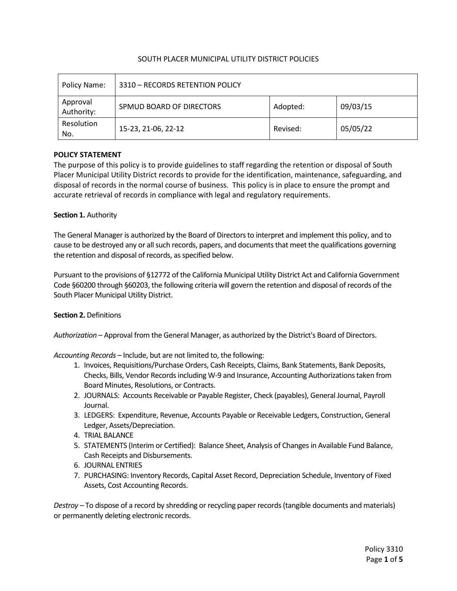## SOUTH PLACER MUNICIPAL UTILITY DISTRICT POLICIES

| Policy Name:           | 3310 - RECORDS RETENTION POLICY |          |          |  |
|------------------------|---------------------------------|----------|----------|--|
| Approval<br>Authority: | SPMUD BOARD OF DIRECTORS        | Adopted: | 09/03/15 |  |
| Resolution<br>No.      | 15-23, 21-06, 22-12             | Revised: | 05/05/22 |  |

## **POLICY STATEMENT**

The purpose of this policy is to provide guidelines to staff regarding the retention or disposal of South Placer Municipal Utility District records to provide for the identification, maintenance, safeguarding, and disposal of records in the normal course of business. This policy is in place to ensure the prompt and accurate retrieval of records in compliance with legal and regulatory requirements.

## **Section 1.** Authority

The General Manager is authorized by the Board of Directors to interpret and implement this policy, and to cause to be destroyed any or all such records, papers, and documents that meet the qualifications governing the retention and disposal of records, as specified below.

Pursuant to the provisions of §12772 of the California Municipal Utility District Act and California Government Code §60200 through §60203, the following criteria will govern the retention and disposal of records of the South Placer Municipal Utility District.

## **Section 2.** Definitions

*Authorization* – Approval from the General Manager, as authorized by the District's Board of Directors.

*Accounting Records* – Include, but are not limited to, the following:

- 1. Invoices, Requisitions/Purchase Orders, Cash Receipts, Claims, Bank Statements, Bank Deposits, Checks, Bills, Vendor Records including W-9 and Insurance, Accounting Authorizations taken from Board Minutes, Resolutions, or Contracts.
- 2. JOURNALS: Accounts Receivable or Payable Register, Check (payables), General Journal, Payroll Journal.
- 3. LEDGERS: Expenditure, Revenue, Accounts Payable or Receivable Ledgers, Construction, General Ledger, Assets/Depreciation.
- 4. TRIAL BALANCE
- 5. STATEMENTS (Interim or Certified): Balance Sheet, Analysis of Changes in Available Fund Balance, Cash Receipts and Disbursements.
- 6. JOURNAL ENTRIES
- 7. PURCHASING: Inventory Records, Capital Asset Record, Depreciation Schedule, Inventory of Fixed Assets, Cost Accounting Records.

*Destroy –* To dispose of a record by shredding or recycling paper records (tangible documents and materials) or permanently deleting electronic records.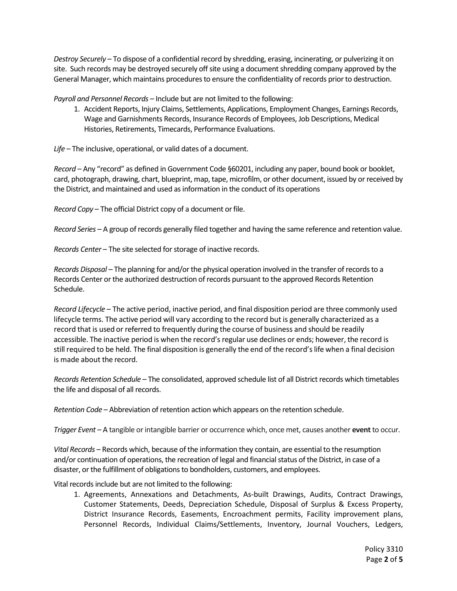*Destroy Securely –* To dispose of a confidential record by shredding, erasing, incinerating, or pulverizing it on site. Such records may be destroyed securely off site using a document shredding company approved by the General Manager, which maintains procedures to ensure the confidentiality of records prior to destruction.

*Payroll and Personnel Records* – Include but are not limited to the following:

1. Accident Reports, Injury Claims, Settlements, Applications, Employment Changes, Earnings Records, Wage and Garnishments Records, Insurance Records of Employees, Job Descriptions, Medical Histories, Retirements, Timecards, Performance Evaluations.

*Life* – The inclusive, operational, or valid dates of a document.

*Record* – Any "record" as defined in Government Code §60201, including any paper, bound book or booklet, card, photograph, drawing, chart, blueprint, map, tape, microfilm, or other document, issued by or received by the District, and maintained and used as information in the conduct of its operations

*Record Copy* – The official District copy of a document or file.

*Record Series* – A group of records generally filed together and having the same reference and retention value.

*Records Center* – The site selected for storage of inactive records.

*Records Disposal* – The planning for and/or the physical operation involved in the transfer of records to a Records Center or the authorized destruction of records pursuant to the approved Records Retention Schedule.

*Record Lifecycle* – The active period, inactive period, and final disposition period are three commonly used lifecycle terms. The active period will vary according to the record but is generally characterized as a record that is used or referred to frequently during the course of business and should be readily accessible. The inactive period is when the record's regular use declines or ends; however, the record is still required to be held. The final disposition is generally the end of the record's life when a final decision is made about the record.

*Records Retention Schedule* – The consolidated, approved schedule list of all District records which timetables the life and disposal of all records.

*Retention Code* – Abbreviation of retention action which appears on the retention schedule.

*Trigger Event* – A tangible or intangible barrier or occurrence which, once met, causes another **event** to occur.

*Vital Records* – Records which, because of the information they contain, are essential to the resumption and/or continuation of operations, the recreation of legal and financial status of the District, in case of a disaster, or the fulfillment of obligations to bondholders, customers, and employees.

Vital records include but are not limited to the following:

1. Agreements, Annexations and Detachments, As-built Drawings, Audits, Contract Drawings, Customer Statements, Deeds, Depreciation Schedule, Disposal of Surplus & Excess Property, District Insurance Records, Easements, Encroachment permits, Facility improvement plans, Personnel Records, Individual Claims/Settlements, Inventory, Journal Vouchers, Ledgers,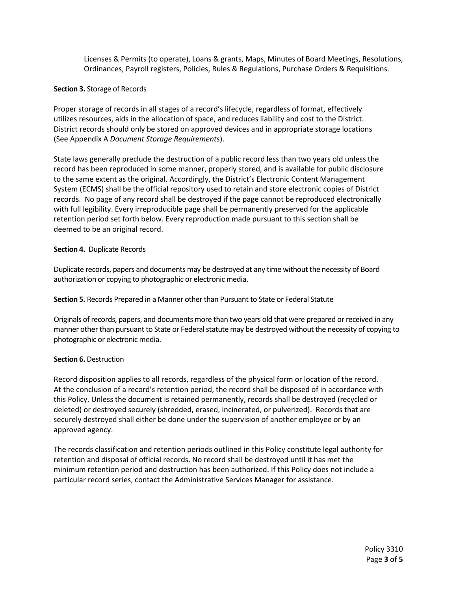Licenses & Permits (to operate), Loans & grants, Maps, Minutes of Board Meetings, Resolutions, Ordinances, Payroll registers, Policies, Rules & Regulations, Purchase Orders & Requisitions.

#### **Section 3.** Storage of Records

Proper storage of records in all stages of a record's lifecycle, regardless of format, effectively utilizes resources, aids in the allocation of space, and reduces liability and cost to the District. District records should only be stored on approved devices and in appropriate storage locations (See Appendix A *Document Storage Requirements*).

State laws generally preclude the destruction of a public record less than two years old unless the record has been reproduced in some manner, properly stored, and is available for public disclosure to the same extent as the original. Accordingly, the District's Electronic Content Management System (ECMS) shall be the official repository used to retain and store electronic copies of District records. No page of any record shall be destroyed if the page cannot be reproduced electronically with full legibility. Every irreproducible page shall be permanently preserved for the applicable retention period set forth below. Every reproduction made pursuant to this section shall be deemed to be an original record.

#### **Section 4.** Duplicate Records

Duplicate records, papers and documents may be destroyed at any time without the necessity of Board authorization or copying to photographic or electronic media.

**Section 5.** Records Prepared in a Manner other than Pursuant to State or Federal Statute

Originals of records, papers, and documents more than two years old that were prepared or received in any manner other than pursuant to State or Federal statute may be destroyed without the necessity of copying to photographic or electronic media.

## **Section 6.** Destruction

Record disposition applies to all records, regardless of the physical form or location of the record. At the conclusion of a record's retention period, the record shall be disposed of in accordance with this Policy. Unless the document is retained permanently, records shall be destroyed (recycled or deleted) or destroyed securely (shredded, erased, incinerated, or pulverized). Records that are securely destroyed shall either be done under the supervision of another employee or by an approved agency.

The records classification and retention periods outlined in this Policy constitute legal authority for retention and disposal of official records. No record shall be destroyed until it has met the minimum retention period and destruction has been authorized. If this Policy does not include a particular record series, contact the Administrative Services Manager for assistance.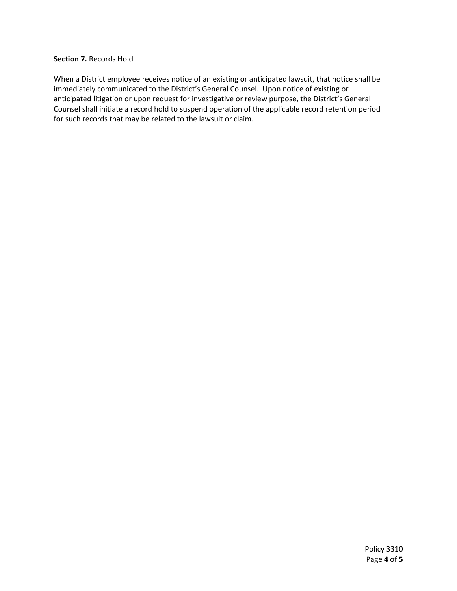## **Section 7.** Records Hold

When a District employee receives notice of an existing or anticipated lawsuit, that notice shall be immediately communicated to the District's General Counsel. Upon notice of existing or anticipated litigation or upon request for investigative or review purpose, the District's General Counsel shall initiate a record hold to suspend operation of the applicable record retention period for such records that may be related to the lawsuit or claim.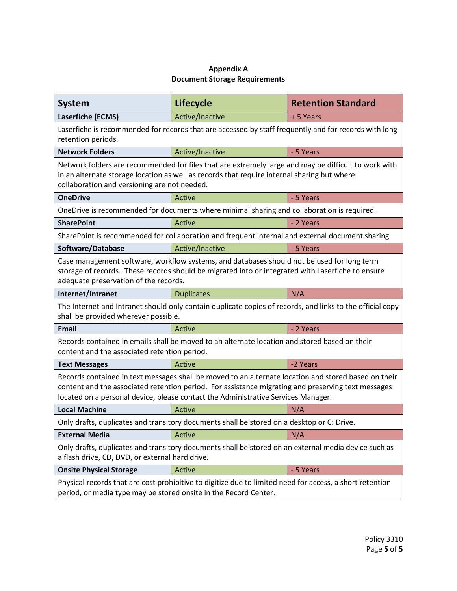# **Appendix A Document Storage Requirements**

| <b>System</b>                                                                                                                                                                                                                                                                                   | <b>Lifecycle</b>                                                                                 | <b>Retention Standard</b> |  |  |  |  |  |
|-------------------------------------------------------------------------------------------------------------------------------------------------------------------------------------------------------------------------------------------------------------------------------------------------|--------------------------------------------------------------------------------------------------|---------------------------|--|--|--|--|--|
| Laserfiche (ECMS)                                                                                                                                                                                                                                                                               | Active/Inactive<br>+ 5 Years                                                                     |                           |  |  |  |  |  |
| Laserfiche is recommended for records that are accessed by staff frequently and for records with long<br>retention periods.                                                                                                                                                                     |                                                                                                  |                           |  |  |  |  |  |
| <b>Network Folders</b>                                                                                                                                                                                                                                                                          | Active/Inactive                                                                                  | - 5 Years                 |  |  |  |  |  |
| Network folders are recommended for files that are extremely large and may be difficult to work with<br>in an alternate storage location as well as records that require internal sharing but where<br>collaboration and versioning are not needed.                                             |                                                                                                  |                           |  |  |  |  |  |
| <b>OneDrive</b>                                                                                                                                                                                                                                                                                 | Active                                                                                           | - 5 Years                 |  |  |  |  |  |
|                                                                                                                                                                                                                                                                                                 | OneDrive is recommended for documents where minimal sharing and collaboration is required.       |                           |  |  |  |  |  |
| <b>SharePoint</b>                                                                                                                                                                                                                                                                               | Active                                                                                           | - 2 Years                 |  |  |  |  |  |
|                                                                                                                                                                                                                                                                                                 | SharePoint is recommended for collaboration and frequent internal and external document sharing. |                           |  |  |  |  |  |
| Software/Database                                                                                                                                                                                                                                                                               | Active/Inactive                                                                                  | - 5 Years                 |  |  |  |  |  |
| Case management software, workflow systems, and databases should not be used for long term<br>storage of records. These records should be migrated into or integrated with Laserfiche to ensure<br>adequate preservation of the records.                                                        |                                                                                                  |                           |  |  |  |  |  |
| Internet/Intranet                                                                                                                                                                                                                                                                               | <b>Duplicates</b>                                                                                | N/A                       |  |  |  |  |  |
| The Internet and Intranet should only contain duplicate copies of records, and links to the official copy<br>shall be provided wherever possible.                                                                                                                                               |                                                                                                  |                           |  |  |  |  |  |
| <b>Email</b>                                                                                                                                                                                                                                                                                    | Active                                                                                           | - 2 Years                 |  |  |  |  |  |
| Records contained in emails shall be moved to an alternate location and stored based on their<br>content and the associated retention period.                                                                                                                                                   |                                                                                                  |                           |  |  |  |  |  |
| <b>Text Messages</b>                                                                                                                                                                                                                                                                            | Active                                                                                           | -2 Years                  |  |  |  |  |  |
| Records contained in text messages shall be moved to an alternate location and stored based on their<br>content and the associated retention period. For assistance migrating and preserving text messages<br>located on a personal device, please contact the Administrative Services Manager. |                                                                                                  |                           |  |  |  |  |  |
| <b>Local Machine</b>                                                                                                                                                                                                                                                                            | Active                                                                                           | N/A                       |  |  |  |  |  |
| Only drafts, duplicates and transitory documents shall be stored on a desktop or C: Drive.                                                                                                                                                                                                      |                                                                                                  |                           |  |  |  |  |  |
| <b>External Media</b>                                                                                                                                                                                                                                                                           | N/A<br>Active                                                                                    |                           |  |  |  |  |  |
| Only drafts, duplicates and transitory documents shall be stored on an external media device such as<br>a flash drive, CD, DVD, or external hard drive.                                                                                                                                         |                                                                                                  |                           |  |  |  |  |  |
| <b>Onsite Physical Storage</b><br>Active<br>- 5 Years                                                                                                                                                                                                                                           |                                                                                                  |                           |  |  |  |  |  |
| Physical records that are cost prohibitive to digitize due to limited need for access, a short retention<br>period, or media type may be stored onsite in the Record Center.                                                                                                                    |                                                                                                  |                           |  |  |  |  |  |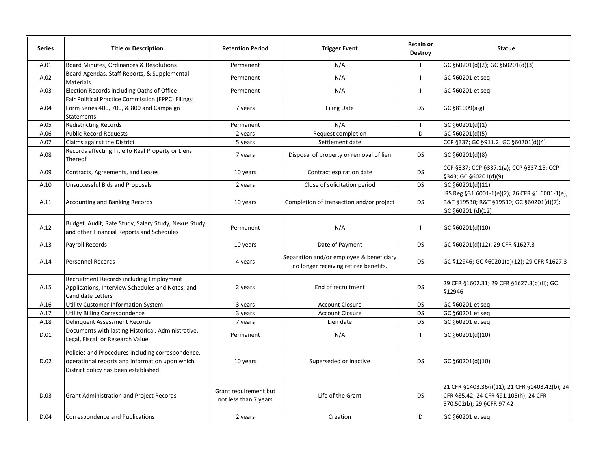| <b>Series</b> | <b>Title or Description</b>                                                                                                                  | <b>Retention Period</b>                        | <b>Trigger Event</b>                                                              | <b>Retain or</b><br><b>Destroy</b>                                                                                                | <b>Statue</b>                                                                                                   |  |
|---------------|----------------------------------------------------------------------------------------------------------------------------------------------|------------------------------------------------|-----------------------------------------------------------------------------------|-----------------------------------------------------------------------------------------------------------------------------------|-----------------------------------------------------------------------------------------------------------------|--|
| A.01          | Board Minutes, Ordinances & Resolutions                                                                                                      | Permanent                                      | N/A                                                                               |                                                                                                                                   | GC §60201(d)(2); GC §60201(d)(3)                                                                                |  |
| A.02          | Board Agendas, Staff Reports, & Supplemental<br>Materials                                                                                    | Permanent                                      | N/A                                                                               | $\mathbf{I}$                                                                                                                      | GC §60201 et seq                                                                                                |  |
| A.03          | Election Records including Oaths of Office                                                                                                   | Permanent                                      | N/A                                                                               | $\mathbf{I}$                                                                                                                      | GC §60201 et seq                                                                                                |  |
| A.04          | Fair Political Practice Commission (FPPC) Filings:<br>Form Series 400, 700, & 800 and Campaign<br>Statements                                 | 7 years                                        | <b>Filing Date</b>                                                                | <b>DS</b>                                                                                                                         | GC §81009(a-g)                                                                                                  |  |
| A.05          | Redistricting Records                                                                                                                        | Permanent                                      | N/A                                                                               | $\mathbf{I}$                                                                                                                      | GC §60201(d)(1)                                                                                                 |  |
| A.06          | <b>Public Record Requests</b>                                                                                                                | 2 years                                        | Request completion                                                                | D                                                                                                                                 | GC §60201(d)(5)                                                                                                 |  |
| A.07          | Claims against the District                                                                                                                  | 5 years                                        | Settlement date                                                                   |                                                                                                                                   | CCP §337; GC §911.2; GC §60201(d)(4)                                                                            |  |
| A.08          | Records affecting Title to Real Property or Liens<br>Thereof                                                                                 | 7 years                                        | Disposal of property or removal of lien                                           | <b>DS</b>                                                                                                                         | GC §60201(d)(8)                                                                                                 |  |
| A.09          | Contracts, Agreements, and Leases                                                                                                            | 10 years                                       | Contract expiration date                                                          | <b>DS</b>                                                                                                                         | CCP §337; CCP §337.1(a); CCP §337.15; CCP<br>§343; GC §60201(d)(9)                                              |  |
| A.10          | <b>Unsuccessful Bids and Proposals</b>                                                                                                       | 2 years                                        | Close of solicitation period                                                      | <b>DS</b>                                                                                                                         | GC §60201(d)(11)                                                                                                |  |
| A.11          | <b>Accounting and Banking Records</b>                                                                                                        | 10 years                                       | Completion of transaction and/or project                                          | DS                                                                                                                                | IRS Reg §31.6001-1(e)(2); 26 CFR §1.6001-1(e);<br>R&T §19530; R&T §19530; GC §60201(d)(7);<br>GC §60201 (d)(12) |  |
| A.12          | Budget, Audit, Rate Study, Salary Study, Nexus Study<br>and other Financial Reports and Schedules                                            | Permanent                                      | N/A                                                                               | $\mathbf{I}$                                                                                                                      | GC §60201(d)(10)                                                                                                |  |
| A.13          | Payroll Records                                                                                                                              | 10 years                                       | Date of Payment                                                                   | <b>DS</b>                                                                                                                         | GC §60201(d)(12); 29 CFR §1627.3                                                                                |  |
| A.14          | <b>Personnel Records</b>                                                                                                                     | 4 years                                        | Separation and/or employee & beneficiary<br>no longer receiving retiree benefits. | <b>DS</b>                                                                                                                         | GC §12946; GC §60201(d)(12); 29 CFR §1627.3                                                                     |  |
| A.15          | Recruitment Records including Employment<br>Applications, Interview Schedules and Notes, and<br><b>Candidate Letters</b>                     | 2 years                                        | End of recruitment                                                                | <b>DS</b>                                                                                                                         | 29 CFR §1602.31; 29 CFR §1627.3(b)(ii); GC<br>§12946                                                            |  |
| A.16          | Utility Customer Information System                                                                                                          | 3 years                                        | <b>Account Closure</b>                                                            | DS                                                                                                                                | GC §60201 et seq                                                                                                |  |
| A.17          | Utility Billing Correspondence                                                                                                               | 3 years                                        | <b>Account Closure</b>                                                            | <b>DS</b>                                                                                                                         | GC §60201 et seq                                                                                                |  |
| A.18          | <b>Delinguent Assessment Records</b>                                                                                                         | 7 years                                        | Lien date                                                                         | <b>DS</b>                                                                                                                         | GC §60201 et seg                                                                                                |  |
| D.01          | Documents with lasting Historical, Administrative,<br>Legal, Fiscal, or Research Value.                                                      | Permanent                                      | N/A                                                                               | $\mathbf{I}$                                                                                                                      | GC §60201(d)(10)                                                                                                |  |
| D.02          | Policies and Procedures including correspondence,<br>operational reports and information upon which<br>District policy has been established. | 10 years                                       | Superseded or Inactive                                                            | <b>DS</b>                                                                                                                         | GC §60201(d)(10)                                                                                                |  |
| D.03          | <b>Grant Administration and Project Records</b>                                                                                              | Grant requirement but<br>not less than 7 years | Life of the Grant                                                                 | 21 CFR §1403.36(i)(11); 21 CFR §1403.42(b); 24<br><b>DS</b><br>CFR §85.42; 24 CFR §91.105(h); 24 CFR<br>570.502(b); 29 §CFR 97.42 |                                                                                                                 |  |
| D.04          | Correspondence and Publications                                                                                                              | 2 years                                        | Creation                                                                          | D                                                                                                                                 | GC §60201 et seq                                                                                                |  |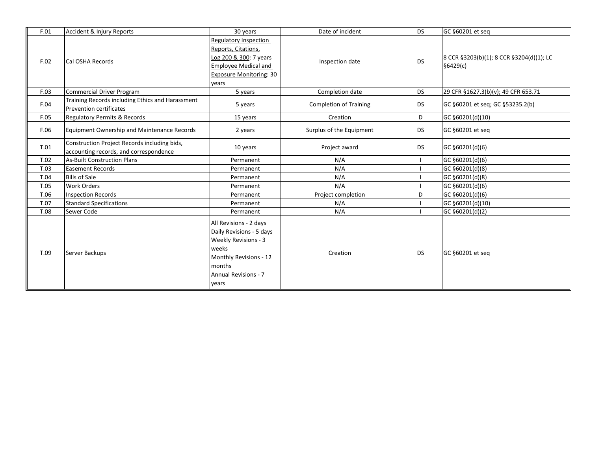| F.01 | Accident & Injury Reports                                                              | 30 years                                                                                                                                                        | Date of incident              | <b>DS</b> | GC §60201 et seq                                     |
|------|----------------------------------------------------------------------------------------|-----------------------------------------------------------------------------------------------------------------------------------------------------------------|-------------------------------|-----------|------------------------------------------------------|
| F.02 | Cal OSHA Records                                                                       | Regulatory Inspection<br>Reports, Citations,<br>Log 200 & 300: 7 years<br><b>Employee Medical and</b><br><b>Exposure Monitoring: 30</b><br>years                | Inspection date               | <b>DS</b> | 8 CCR §3203(b)(1); 8 CCR §3204(d)(1); LC<br>§6429(c) |
| F.03 | <b>Commercial Driver Program</b>                                                       | 5 years                                                                                                                                                         | Completion date               | <b>DS</b> | 29 CFR §1627.3(b)(v); 49 CFR 653.71                  |
| F.04 | Training Records including Ethics and Harassment<br><b>Prevention certificates</b>     | 5 years                                                                                                                                                         | <b>Completion of Training</b> | DS        | GC §60201 et seq; GC §53235.2(b)                     |
| F.05 | Regulatory Permits & Records                                                           | 15 years                                                                                                                                                        | Creation                      | D         | GC §60201(d)(10)                                     |
| F.06 | <b>Equipment Ownership and Maintenance Records</b>                                     | 2 years                                                                                                                                                         | Surplus of the Equipment      | <b>DS</b> | GC §60201 et seg                                     |
| T.01 | Construction Project Records including bids,<br>accounting records, and correspondence | 10 years                                                                                                                                                        | Project award                 | <b>DS</b> | GC §60201(d)(6)                                      |
| T.02 | <b>As-Built Construction Plans</b>                                                     | Permanent                                                                                                                                                       | N/A                           |           | GC §60201(d)(6)                                      |
| T.03 | <b>Easement Records</b>                                                                | Permanent                                                                                                                                                       | N/A                           |           | GC §60201(d)(8)                                      |
| T.04 | <b>Bills of Sale</b>                                                                   | Permanent                                                                                                                                                       | N/A                           |           | GC §60201(d)(8)                                      |
| T.05 | <b>Work Orders</b>                                                                     | Permanent                                                                                                                                                       | N/A                           |           | GC §60201(d)(6)                                      |
| T.06 | <b>Inspection Records</b>                                                              | Permanent                                                                                                                                                       | Project completion            | D         | GC §60201(d)(6)                                      |
| T.07 | <b>Standard Specifications</b>                                                         | Permanent                                                                                                                                                       | N/A                           |           | GC §60201(d)(10)                                     |
| T.08 | Sewer Code                                                                             | Permanent                                                                                                                                                       | N/A                           |           | GC §60201(d)(2)                                      |
| T.09 | Server Backups                                                                         | All Revisions - 2 days<br>Daily Revisions - 5 days<br>Weekly Revisions - 3<br>weeks<br>Monthly Revisions - 12<br>months<br><b>Annual Revisions - 7</b><br>years | Creation                      | <b>DS</b> | GC §60201 et seg                                     |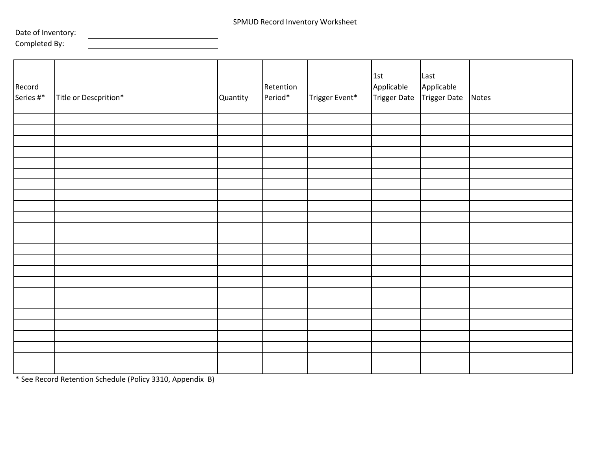Date of Inventory:

<u>and the state of the state of the state of the state of the state of the state of the state of the state of the state of the state of the state of the state of the state of the state of the state of the state of the state</u>

Completed By:

| Record<br>Series #* | Title or Descprition*                                                                                               | Quantity | Retention<br>Period* | Trigger Event* | 1st<br>Applicable | Last<br>Applicable<br>Trigger Date Trigger Date Notes |  |
|---------------------|---------------------------------------------------------------------------------------------------------------------|----------|----------------------|----------------|-------------------|-------------------------------------------------------|--|
|                     |                                                                                                                     |          |                      |                |                   |                                                       |  |
|                     |                                                                                                                     |          |                      |                |                   |                                                       |  |
|                     |                                                                                                                     |          |                      |                |                   |                                                       |  |
|                     |                                                                                                                     |          |                      |                |                   |                                                       |  |
|                     |                                                                                                                     |          |                      |                |                   |                                                       |  |
|                     |                                                                                                                     |          |                      |                |                   |                                                       |  |
|                     |                                                                                                                     |          |                      |                |                   |                                                       |  |
|                     |                                                                                                                     |          |                      |                |                   |                                                       |  |
|                     |                                                                                                                     |          |                      |                |                   |                                                       |  |
|                     |                                                                                                                     |          |                      |                |                   |                                                       |  |
|                     |                                                                                                                     |          |                      |                |                   |                                                       |  |
|                     |                                                                                                                     |          |                      |                |                   |                                                       |  |
|                     |                                                                                                                     |          |                      |                |                   |                                                       |  |
|                     |                                                                                                                     |          |                      |                |                   |                                                       |  |
|                     |                                                                                                                     |          |                      |                |                   |                                                       |  |
|                     |                                                                                                                     |          |                      |                |                   |                                                       |  |
|                     |                                                                                                                     |          |                      |                |                   |                                                       |  |
|                     |                                                                                                                     |          |                      |                |                   |                                                       |  |
|                     |                                                                                                                     |          |                      |                |                   |                                                       |  |
|                     |                                                                                                                     |          |                      |                |                   |                                                       |  |
|                     |                                                                                                                     |          |                      |                |                   |                                                       |  |
|                     |                                                                                                                     |          |                      |                |                   |                                                       |  |
|                     |                                                                                                                     |          |                      |                |                   |                                                       |  |
|                     |                                                                                                                     |          |                      |                |                   |                                                       |  |
|                     |                                                                                                                     |          |                      |                |                   |                                                       |  |
|                     | $*c_{11}$ B. (a) $ B_{11}$ (b) $ C_{11}$ (b) $ A_{11} $ (B) $ C_{11} $ (B) $ A_{12} $ (b) $ A_{12} $ (b) $ A_{12} $ |          |                      |                |                   |                                                       |  |

\* See Record Retention Schedule (Policy 3310, Appendix B)